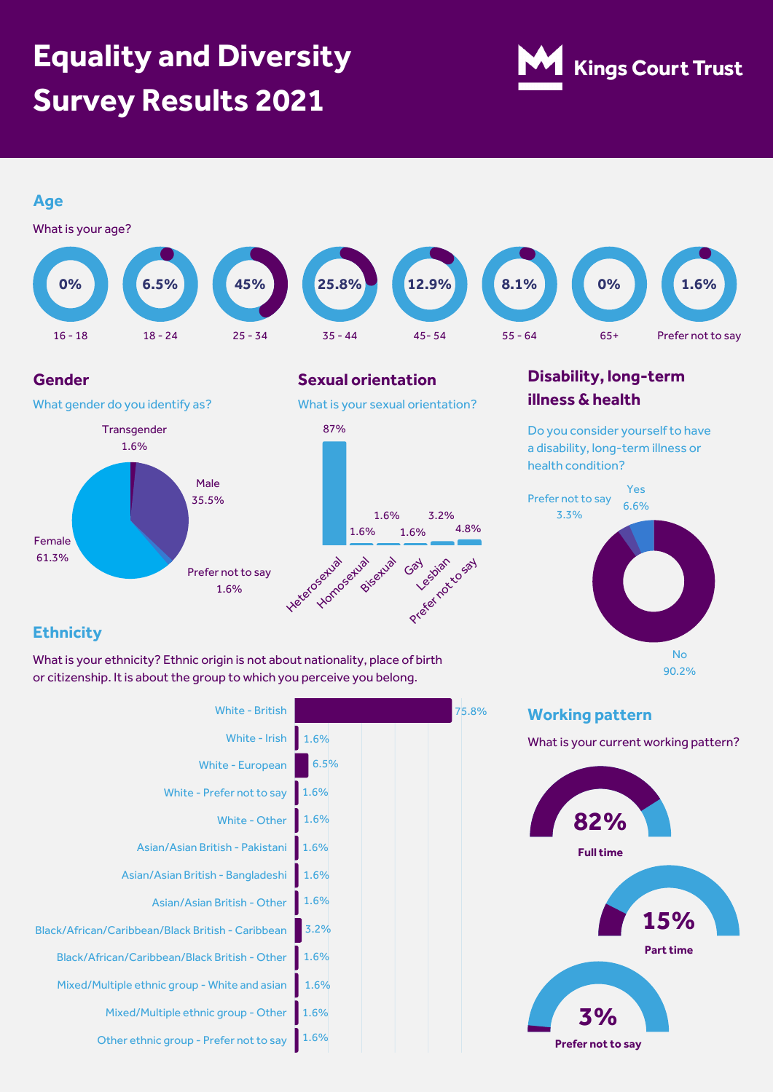# **Equality and Diversity Survey Results 2021**





## **Ethnicity**

What is your ethnicity? Ethnic origin is not about nationality, place of birth or citizenship. It is about the group to which you perceive you belong.

| <b>White - British</b>                            |      |
|---------------------------------------------------|------|
| White - Irish                                     | 1.6% |
| <b>White - European</b>                           | 6.5% |
| White - Prefer not to say                         | 1.6% |
| White - Other                                     | 1.6% |
| Asian/Asian British - Pakistani                   | 1.6% |
| Asian/Asian British - Bangladeshi                 | 1.6% |
| Asian/Asian British - Other                       | 1.6% |
| Black/African/Caribbean/Black British - Caribbean | 3.2% |
| Black/African/Caribbean/Black British - Other     | 1.6% |
| Mixed/Multiple ethnic group - White and asian     | 1.6% |
| Mixed/Multiple ethnic group - Other               | 1.6% |
| Other ethnic group - Prefer not to say            | 1.6% |
|                                                   |      |



75.8%

What is your current working pattern?

No 90.2%